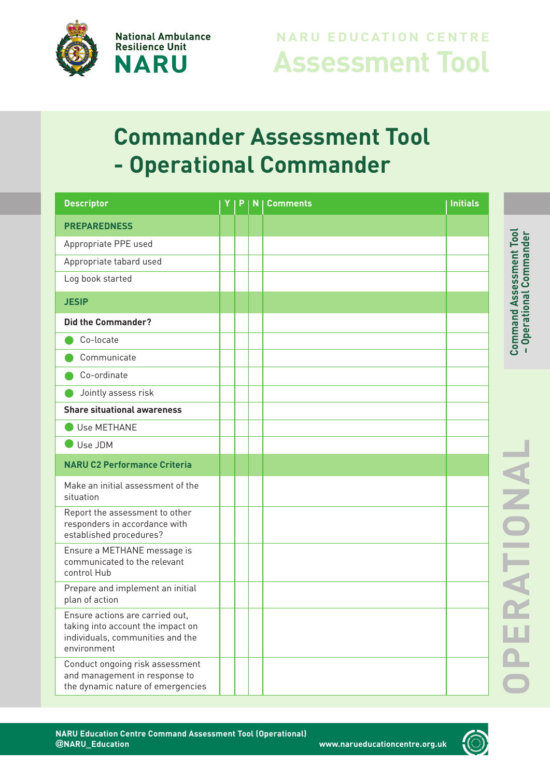

## **Assessment Tool N ARU EDUCAT IO N CE N TRE**

## **Commander Assessment Tool - Operational Commander**

| <b>Descriptor</b>                                                                                                       | P | N | <b>Comments</b> | <b>Initials</b> |
|-------------------------------------------------------------------------------------------------------------------------|---|---|-----------------|-----------------|
| <b>PREPAREDNESS</b>                                                                                                     |   |   |                 |                 |
| Appropriate PPE used                                                                                                    |   |   |                 |                 |
| Appropriate tabard used                                                                                                 |   |   |                 |                 |
| Log book started                                                                                                        |   |   |                 |                 |
| <b>JESIP</b>                                                                                                            |   |   |                 |                 |
| <b>Did the Commander?</b>                                                                                               |   |   |                 |                 |
| Co-locate                                                                                                               |   |   |                 |                 |
| Communicate                                                                                                             |   |   |                 |                 |
| Co-ordinate                                                                                                             |   |   |                 |                 |
| Jointly assess risk                                                                                                     |   |   |                 |                 |
| <b>Share situational awareness</b>                                                                                      |   |   |                 |                 |
| Use METHANE                                                                                                             |   |   |                 |                 |
| Use JDM                                                                                                                 |   |   |                 |                 |
| <b>NARU C2 Performance Criteria</b>                                                                                     |   |   |                 |                 |
| Make an initial assessment of the<br>situation                                                                          |   |   |                 |                 |
| Report the assessment to other<br>responders in accordance with<br>established procedures?                              |   |   |                 |                 |
| Ensure a METHANE message is<br>communicated to the relevant<br>control Hub                                              |   |   |                 |                 |
| Prepare and implement an initial<br>plan of action                                                                      |   |   |                 |                 |
| Ensure actions are carried out,<br>taking into account the impact on<br>individuals, communities and the<br>environment |   |   |                 |                 |
| Conduct ongoing risk assessment<br>and management in response to<br>the dynamic nature of emergencies                   |   |   |                 |                 |

**–**

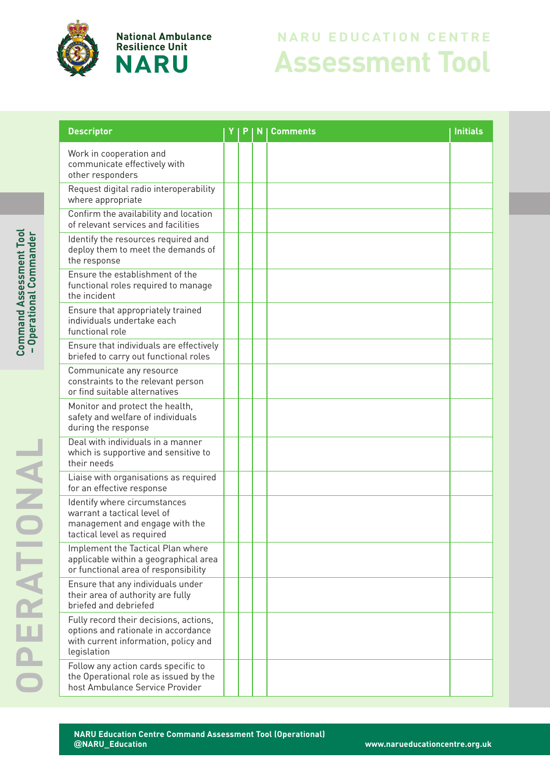

**National Ambulance Resilience Unit NARU** 

## **Assessment Tool NARU EDUCATION CENTRE**

| <b>Descriptor</b>                                                                                                                    |  | N | <b>Comments</b> | <b>Initials</b> |
|--------------------------------------------------------------------------------------------------------------------------------------|--|---|-----------------|-----------------|
| Work in cooperation and<br>communicate effectively with<br>other responders                                                          |  |   |                 |                 |
| Request digital radio interoperability<br>where appropriate                                                                          |  |   |                 |                 |
| Confirm the availability and location<br>of relevant services and facilities                                                         |  |   |                 |                 |
| Identify the resources required and<br>deploy them to meet the demands of<br>the response                                            |  |   |                 |                 |
| Ensure the establishment of the<br>functional roles required to manage<br>the incident                                               |  |   |                 |                 |
| Ensure that appropriately trained<br>individuals undertake each<br>functional role                                                   |  |   |                 |                 |
| Ensure that individuals are effectively<br>briefed to carry out functional roles                                                     |  |   |                 |                 |
| Communicate any resource<br>constraints to the relevant person<br>or find suitable alternatives                                      |  |   |                 |                 |
| Monitor and protect the health,<br>safety and welfare of individuals<br>during the response                                          |  |   |                 |                 |
| Deal with individuals in a manner<br>which is supportive and sensitive to<br>their needs                                             |  |   |                 |                 |
| Liaise with organisations as required<br>for an effective response                                                                   |  |   |                 |                 |
| Identify where circumstances<br>warrant a tactical level of<br>management and engage with the<br>tactical level as required          |  |   |                 |                 |
| Implement the Tactical Plan where<br>applicable within a geographical area<br>or functional area of responsibility                   |  |   |                 |                 |
| Ensure that any individuals under<br>their area of authority are fully<br>briefed and debriefed                                      |  |   |                 |                 |
| Fully record their decisions, actions,<br>options and rationale in accordance<br>with current information, policy and<br>legislation |  |   |                 |                 |
| Follow any action cards specific to<br>the Operational role as issued by the<br>host Ambulance Service Provider                      |  |   |                 |                 |

**C**

**–**